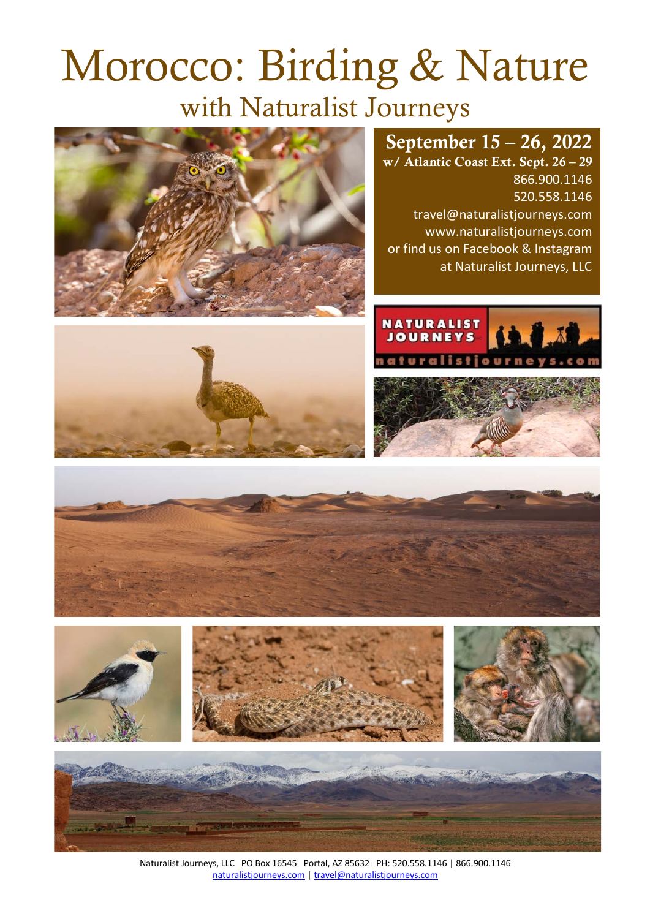# Morocco: Birding & Nature with Naturalist Journeys



# September 15 – 26, 2022

w/ Atlantic Coast Ext. Sept. 26 – 29 866.900.1146 520.558.1146 travel@naturalistjourneys.com www.naturalistjourneys.com or find us on Facebook & Instagram at Naturalist Journeys, LLC













Naturalist Journeys, LLC PO Box 16545 Portal, AZ 85632 PH: 520.558.1146 | 866.900.1146 naturalistjourneys.com | travel@naturalistjourneys.com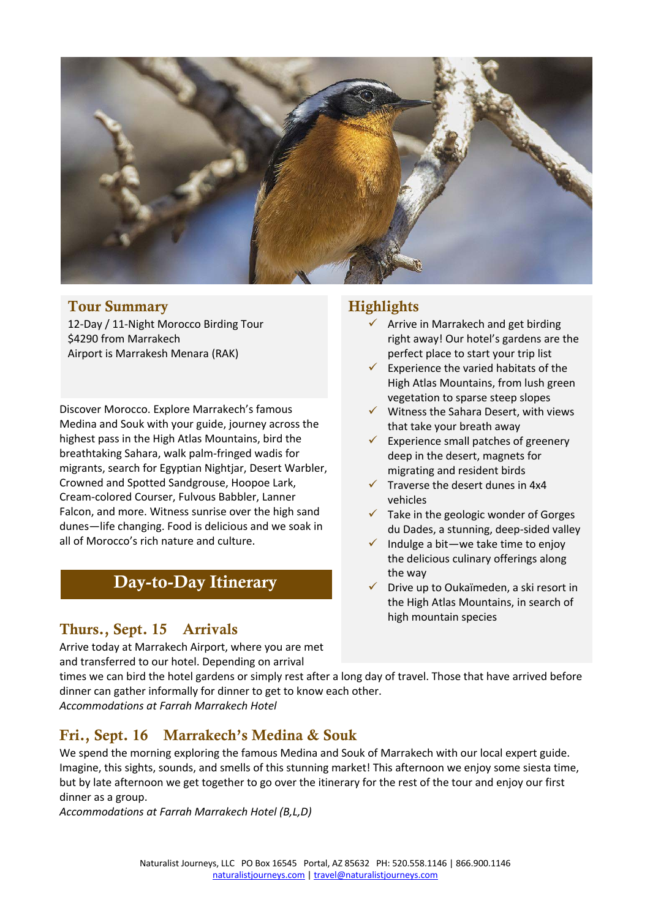

#### Tour Summary

12-Day / 11-Night Morocco Birding Tour \$4290 from Marrakech Airport is Marrakesh Menara (RAK)

Discover Morocco. Explore Marrakech's famous Medina and Souk with your guide, journey across the highest pass in the High Atlas Mountains, bird the breathtaking Sahara, walk palm-fringed wadis for migrants, search for Egyptian Nightjar, Desert Warbler, Crowned and Spotted Sandgrouse, Hoopoe Lark, Cream-colored Courser, Fulvous Babbler, Lanner Falcon, and more. Witness sunrise over the high sand dunes—life changing. Food is delicious and we soak in all of Morocco's rich nature and culture.

# Day-to-Day Itinerary

# Thurs., Sept. 15 Arrivals

Arrive today at Marrakech Airport, where you are met and transferred to our hotel. Depending on arrival

#### **Highlights**

- $\checkmark$  Arrive in Marrakech and get birding right away! Our hotel's gardens are the perfect place to start your trip list
- Experience the varied habitats of the High Atlas Mountains, from lush green vegetation to sparse steep slopes
- $\checkmark$  Witness the Sahara Desert, with views that take your breath away
- $\checkmark$  Experience small patches of greenery deep in the desert, magnets for migrating and resident birds
- $\checkmark$  Traverse the desert dunes in 4x4 vehicles
- $\checkmark$  Take in the geologic wonder of Gorges du Dades, a stunning, deep-sided valley
- $\checkmark$  Indulge a bit—we take time to enjoy the delicious culinary offerings along the way
- $\checkmark$  Drive up to Oukaïmeden, a ski resort in the High Atlas Mountains, in search of high mountain species

times we can bird the hotel gardens or simply rest after a long day of travel. Those that have arrived before dinner can gather informally for dinner to get to know each other.

*Accommodations at Farrah Marrakech Hotel*

# Fri., Sept. 16 Marrakech's Medina & Souk

We spend the morning exploring the famous Medina and Souk of Marrakech with our local expert guide. Imagine, this sights, sounds, and smells of this stunning market! This afternoon we enjoy some siesta time, but by late afternoon we get together to go over the itinerary for the rest of the tour and enjoy our first dinner as a group.

*Accommodations at Farrah Marrakech Hotel (B,L,D)*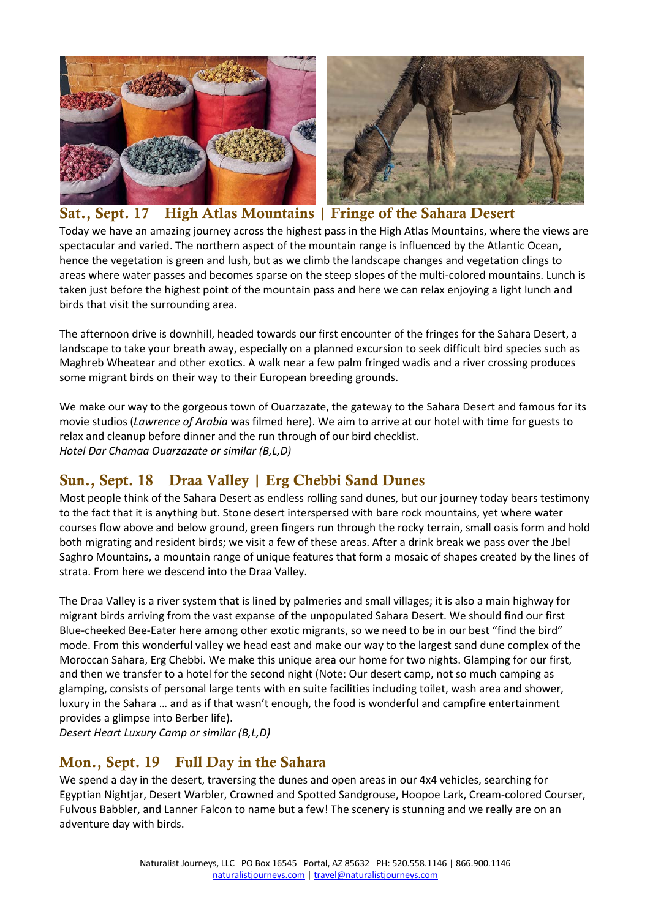



#### Sat., Sept. 17 High Atlas Mountains | Fringe of the Sahara Desert Today we have an amazing journey across the highest pass in the High Atlas Mountains, where the views are spectacular and varied. The northern aspect of the mountain range is influenced by the Atlantic Ocean, hence the vegetation is green and lush, but as we climb the landscape changes and vegetation clings to areas where water passes and becomes sparse on the steep slopes of the multi-colored mountains. Lunch is taken just before the highest point of the mountain pass and here we can relax enjoying a light lunch and birds that visit the surrounding area.

The afternoon drive is downhill, headed towards our first encounter of the fringes for the Sahara Desert, a landscape to take your breath away, especially on a planned excursion to seek difficult bird species such as Maghreb Wheatear and other exotics. A walk near a few palm fringed wadis and a river crossing produces some migrant birds on their way to their European breeding grounds.

We make our way to the gorgeous town of Ouarzazate, the gateway to the Sahara Desert and famous for its movie studios (*Lawrence of Arabia* was filmed here). We aim to arrive at our hotel with time for guests to relax and cleanup before dinner and the run through of our bird checklist. *Hotel Dar Chamaa Ouarzazate or similar (B,L,D)*

# Sun., Sept. 18 Draa Valley | Erg Chebbi Sand Dunes

Most people think of the Sahara Desert as endless rolling sand dunes, but our journey today bears testimony to the fact that it is anything but. Stone desert interspersed with bare rock mountains, yet where water courses flow above and below ground, green fingers run through the rocky terrain, small oasis form and hold both migrating and resident birds; we visit a few of these areas. After a drink break we pass over the Jbel Saghro Mountains, a mountain range of unique features that form a mosaic of shapes created by the lines of strata. From here we descend into the Draa Valley.

The Draa Valley is a river system that is lined by palmeries and small villages; it is also a main highway for migrant birds arriving from the vast expanse of the unpopulated Sahara Desert. We should find our first Blue-cheeked Bee-Eater here among other exotic migrants, so we need to be in our best "find the bird" mode. From this wonderful valley we head east and make our way to the largest sand dune complex of the Moroccan Sahara, Erg Chebbi. We make this unique area our home for two nights. Glamping for our first, and then we transfer to a hotel for the second night (Note: Our desert camp, not so much camping as glamping, consists of personal large tents with en suite facilities including toilet, wash area and shower, luxury in the Sahara … and as if that wasn't enough, the food is wonderful and campfire entertainment provides a glimpse into Berber life).

*Desert Heart Luxury Camp or similar (B,L,D)*

#### Mon., Sept. 19 Full Day in the Sahara

We spend a day in the desert, traversing the dunes and open areas in our 4x4 vehicles, searching for Egyptian Nightjar, Desert Warbler, Crowned and Spotted Sandgrouse, Hoopoe Lark, Cream-colored Courser, Fulvous Babbler, and Lanner Falcon to name but a few! The scenery is stunning and we really are on an adventure day with birds.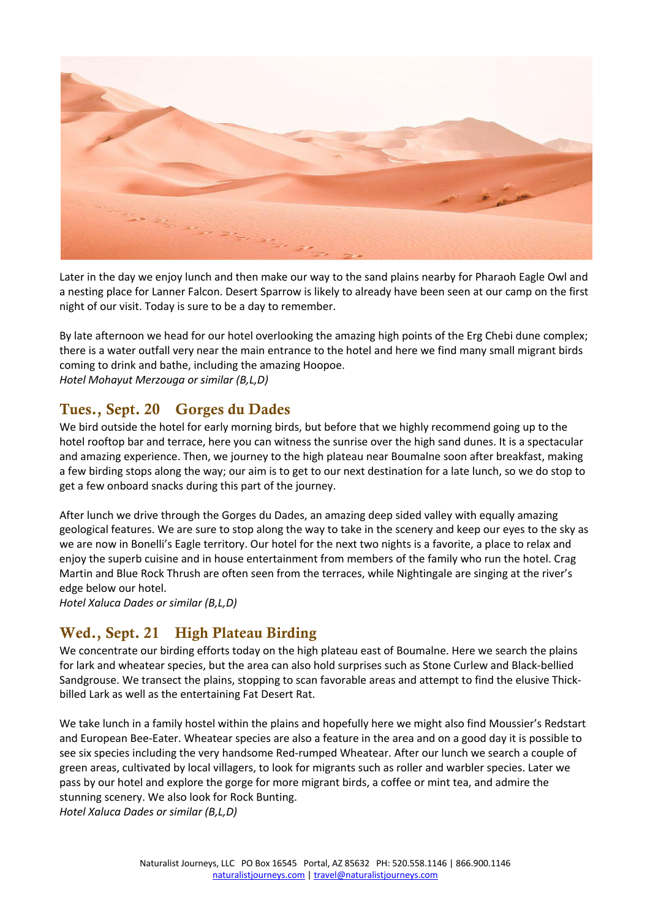

Later in the day we enjoy lunch and then make our way to the sand plains nearby for Pharaoh Eagle Owl and a nesting place for Lanner Falcon. Desert Sparrow is likely to already have been seen at our camp on the first night of our visit. Today is sure to be a day to remember.

By late afternoon we head for our hotel overlooking the amazing high points of the Erg Chebi dune complex; there is a water outfall very near the main entrance to the hotel and here we find many small migrant birds coming to drink and bathe, including the amazing Hoopoe. *Hotel Mohayut Merzouga or similar (B,L,D)*

#### Tues., Sept. 20 Gorges du Dades

We bird outside the hotel for early morning birds, but before that we highly recommend going up to the hotel rooftop bar and terrace, here you can witness the sunrise over the high sand dunes. It is a spectacular and amazing experience. Then, we journey to the high plateau near Boumalne soon after breakfast, making a few birding stops along the way; our aim is to get to our next destination for a late lunch, so we do stop to get a few onboard snacks during this part of the journey.

After lunch we drive through the Gorges du Dades, an amazing deep sided valley with equally amazing geological features. We are sure to stop along the way to take in the scenery and keep our eyes to the sky as we are now in Bonelli's Eagle territory. Our hotel for the next two nights is a favorite, a place to relax and enjoy the superb cuisine and in house entertainment from members of the family who run the hotel. Crag Martin and Blue Rock Thrush are often seen from the terraces, while Nightingale are singing at the river's edge below our hotel.

*Hotel Xaluca Dades or similar (B,L,D)*

# Wed., Sept. 21 High Plateau Birding

We concentrate our birding efforts today on the high plateau east of Boumalne. Here we search the plains for lark and wheatear species, but the area can also hold surprises such as Stone Curlew and Black-bellied Sandgrouse. We transect the plains, stopping to scan favorable areas and attempt to find the elusive Thickbilled Lark as well as the entertaining Fat Desert Rat.

We take lunch in a family hostel within the plains and hopefully here we might also find Moussier's Redstart and European Bee-Eater. Wheatear species are also a feature in the area and on a good day it is possible to see six species including the very handsome Red-rumped Wheatear. After our lunch we search a couple of green areas, cultivated by local villagers, to look for migrants such as roller and warbler species. Later we pass by our hotel and explore the gorge for more migrant birds, a coffee or mint tea, and admire the stunning scenery. We also look for Rock Bunting.

*Hotel Xaluca Dades or similar (B,L,D)*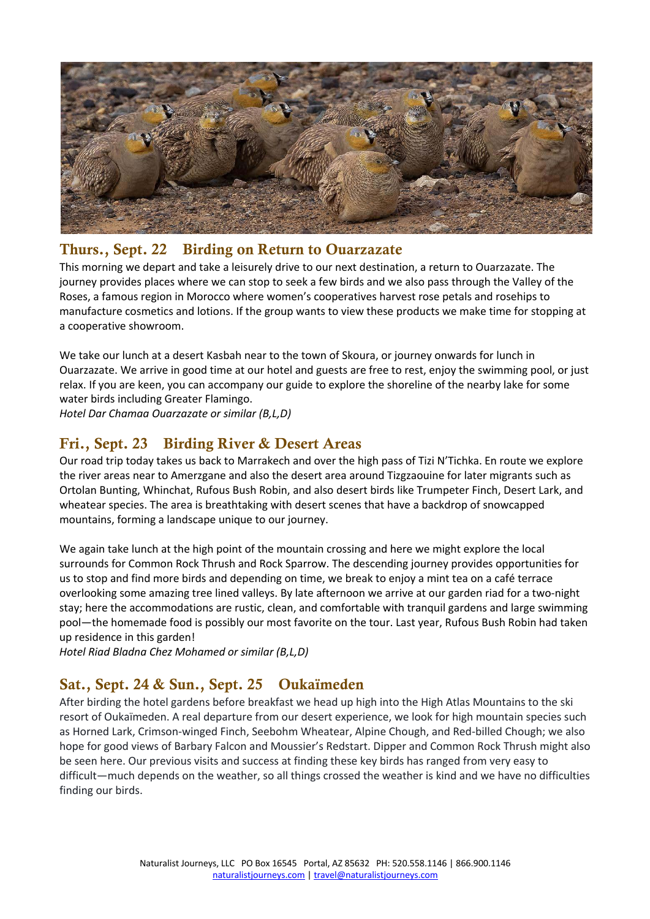

#### Thurs., Sept. 22 Birding on Return to Ouarzazate

This morning we depart and take a leisurely drive to our next destination, a return to Ouarzazate. The journey provides places where we can stop to seek a few birds and we also pass through the Valley of the Roses, a famous region in Morocco where women's cooperatives harvest rose petals and rosehips to manufacture cosmetics and lotions. If the group wants to view these products we make time for stopping at a cooperative showroom.

We take our lunch at a desert Kasbah near to the town of Skoura, or journey onwards for lunch in Ouarzazate. We arrive in good time at our hotel and guests are free to rest, enjoy the swimming pool, or just relax. If you are keen, you can accompany our guide to explore the shoreline of the nearby lake for some water birds including Greater Flamingo.

*Hotel Dar Chamaa Ouarzazate or similar (B,L,D)*

#### Fri., Sept. 23 Birding River & Desert Areas

Our road trip today takes us back to Marrakech and over the high pass of Tizi N'Tichka. En route we explore the river areas near to Amerzgane and also the desert area around Tizgzaouine for later migrants such as Ortolan Bunting, Whinchat, Rufous Bush Robin, and also desert birds like Trumpeter Finch, Desert Lark, and wheatear species. The area is breathtaking with desert scenes that have a backdrop of snowcapped mountains, forming a landscape unique to our journey.

We again take lunch at the high point of the mountain crossing and here we might explore the local surrounds for Common Rock Thrush and Rock Sparrow. The descending journey provides opportunities for us to stop and find more birds and depending on time, we break to enjoy a mint tea on a café terrace overlooking some amazing tree lined valleys. By late afternoon we arrive at our garden riad for a two-night stay; here the accommodations are rustic, clean, and comfortable with tranquil gardens and large swimming pool—the homemade food is possibly our most favorite on the tour. Last year, Rufous Bush Robin had taken up residence in this garden!

*Hotel Riad Bladna Chez Mohamed or similar (B,L,D)*

# Sat., Sept. 24 & Sun., Sept. 25 Oukaïmeden

After birding the hotel gardens before breakfast we head up high into the High Atlas Mountains to the ski resort of Oukaïmeden. A real departure from our desert experience, we look for high mountain species such as Horned Lark, Crimson-winged Finch, Seebohm Wheatear, Alpine Chough, and Red-billed Chough; we also hope for good views of Barbary Falcon and Moussier's Redstart. Dipper and Common Rock Thrush might also be seen here. Our previous visits and success at finding these key birds has ranged from very easy to difficult—much depends on the weather, so all things crossed the weather is kind and we have no difficulties finding our birds.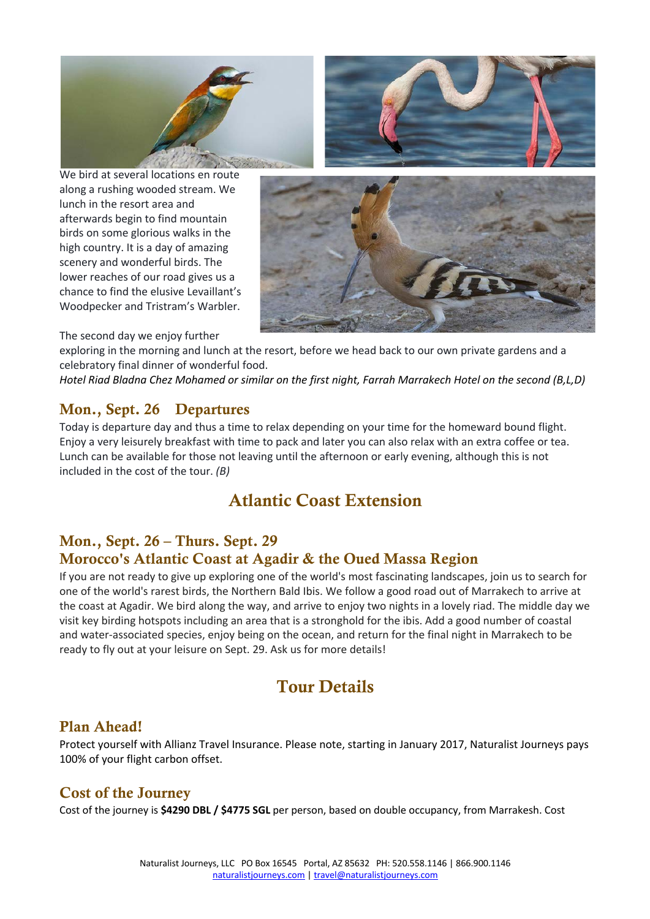

We bird at several locations en route along a rushing wooded stream. We lunch in the resort area and afterwards begin to find mountain birds on some glorious walks in the high country. It is a day of amazing scenery and wonderful birds. The lower reaches of our road gives us a chance to find the elusive Levaillant's Woodpecker and Tristram's Warbler.



The second day we enjoy further

exploring in the morning and lunch at the resort, before we head back to our own private gardens and a celebratory final dinner of wonderful food.

*Hotel Riad Bladna Chez Mohamed or similar on the first night, Farrah Marrakech Hotel on the second (B,L,D)*

#### Mon., Sept. 26 Departures

Today is departure day and thus a time to relax depending on your time for the homeward bound flight. Enjoy a very leisurely breakfast with time to pack and later you can also relax with an extra coffee or tea. Lunch can be available for those not leaving until the afternoon or early evening, although this is not included in the cost of the tour. *(B)*

# Atlantic Coast Extension

#### Mon., Sept. 26 – Thurs. Sept. 29 Morocco's Atlantic Coast at Agadir & the Oued Massa Region

If you are not ready to give up exploring one of the world's most fascinating landscapes, join us to search for one of the world's rarest birds, the Northern Bald Ibis. We follow a good road out of Marrakech to arrive at the coast at Agadir. We bird along the way, and arrive to enjoy two nights in a lovely riad. The middle day we visit key birding hotspots including an area that is a stronghold for the ibis. Add a good number of coastal and water-associated species, enjoy being on the ocean, and return for the final night in Marrakech to be ready to fly out at your leisure on Sept. 29. Ask us for more details!

# Tour Details

#### Plan Ahead!

Protect yourself with Allianz Travel Insurance. Please note, starting in January 2017, Naturalist Journeys pays 100% of your flight carbon offset.

#### Cost of the Journey

Cost of the journey is **\$4290 DBL / \$4775 SGL** per person, based on double occupancy, from Marrakesh. Cost